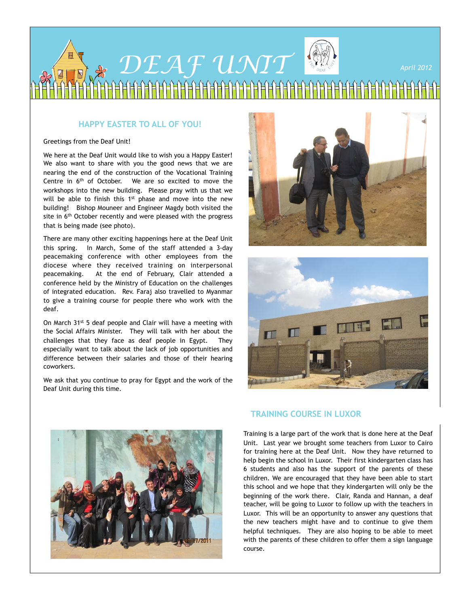

## **HAPPY EASTER TO ALL OF YOU!**

#### Greetings from the Deaf Unit!

We here at the Deaf Unit would like to wish you a Happy Easter! We also want to share with you the good news that we are nearing the end of the construction of the Vocational Training Centre in 6<sup>th</sup> of October. We are so excited to move the workshops into the new building. Please pray with us that we will be able to finish this 1<sup>st</sup> phase and move into the new building! Bishop Mouneer and Engineer Magdy both visited the site in 6<sup>th</sup> October recently and were pleased with the progress that is being made (see photo).

There are many other exciting happenings here at the Deaf Unit this spring. In March, Some of the staff attended a 3-day peacemaking conference with other employees from the diocese where they received training on interpersonal peacemaking. At the end of February, Clair attended a conference held by the Ministry of Education on the challenges of integrated education. Rev. Faraj also travelled to Myanmar to give a training course for people there who work with the deaf.

On March 31<sup>st</sup> 5 deaf people and Clair will have a meeting with the Social Affairs Minister. They will talk with her about the challenges that they face as deaf people in Egypt. They especially want to talk about the lack of job opportunities and difference between their salaries and those of their hearing coworkers.

We ask that you continue to pray for Egypt and the work of the Deaf Unit during this time.







## **TRAINING COURSE IN LUXOR**

Training is a large part of the work that is done here at the Deaf Unit. Last year we brought some teachers from Luxor to Cairo for training here at the Deaf Unit. Now they have returned to help begin the school in Luxor. Their first kindergarten class has 6 students and also has the support of the parents of these children. We are encouraged that they have been able to start this school and we hope that they kindergarten will only be the beginning of the work there. Clair, Randa and Hannan, a deaf teacher, will be going to Luxor to follow up with the teachers in Luxor. This will be an opportunity to answer any questions that the new teachers might have and to continue to give them helpful techniques. They are also hoping to be able to meet with the parents of these children to offer them a sign language course.